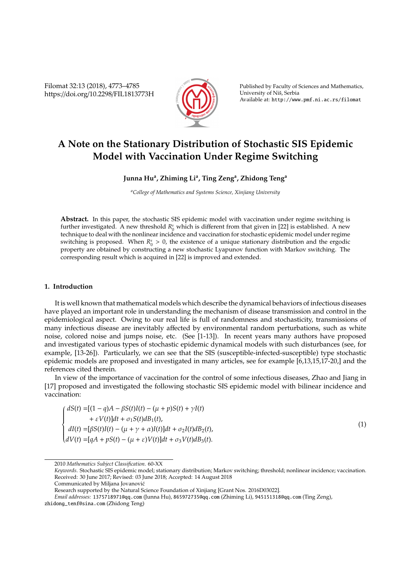Filomat 32:13 (2018), 4773–4785 https://doi.org/10.2298/FIL1813773H



Published by Faculty of Sciences and Mathematics, University of Nis, Serbia ˇ Available at: http://www.pmf.ni.ac.rs/filomat

# **A Note on the Stationary Distribution of Stochastic SIS Epidemic Model with Vaccination Under Regime Switching**

## **Junna Hu<sup>a</sup> , Zhiming Li<sup>a</sup> , Ting Zeng<sup>a</sup> , Zhidong Teng<sup>a</sup>**

*<sup>a</sup>College of Mathematics and Systems Science, Xinjiang University*

**Abstract.** In this paper, the stochastic SIS epidemic model with vaccination under regime switching is further investigated. A new threshold  $R_0^s$  which is different from that given in [22] is established. A new technique to deal with the nonlinear incidence and vaccination for stochastic epidemic model under regime switching is proposed. When  $R_0^s > 0$ , the existence of a unique stationary distribution and the ergodic property are obtained by constructing a new stochastic Lyapunov function with Markov switching. The corresponding result which is acquired in [22] is improved and extended.

## **1. Introduction**

It is well known that mathematical models which describe the dynamical behaviors of infectious diseases have played an important role in understanding the mechanism of disease transmission and control in the epidemiological aspect. Owing to our real life is full of randomness and stochasticity, transmissions of many infectious disease are inevitably affected by environmental random perturbations, such as white noise, colored noise and jumps noise, etc. (See [1-13]). In recent years many authors have proposed and investigated various types of stochastic epidemic dynamical models with such disturbances (see, for example, [13-26]). Particularly, we can see that the SIS (susceptible-infected-susceptible) type stochastic epidemic models are proposed and investigated in many articles, see for example [6,13,15,17-20,] and the references cited therein.

In view of the importance of vaccination for the control of some infectious diseases, Zhao and Jiang in [17] proposed and investigated the following stochastic SIS epidemic model with bilinear incidence and vaccination:

$$
\left\{\begin{aligned} dS(t) =& [(1-q)A-\beta S(t)I(t) - (\mu + p)S(t) + \gamma I(t) \\ &+ \varepsilon V(t)]dt + \sigma_1 S(t)dB_1(t), \\ dI(t) =& [\beta S(t)I(t) - (\mu + \gamma + \alpha)I(t)]dt + \sigma_2 I(t)dB_2(t), \\ dV(t) =& [qA + pS(t) - (\mu + \varepsilon)V(t)]dt + \sigma_3 V(t)dB_3(t). \end{aligned}\right.
$$

(1)

<sup>2010</sup> *Mathematics Subject Classification*. 60-XX

*Keywords*. Stochastic SIS epidemic model; stationary distribution; Markov switching; threshold; nonlinear incidence; vaccination. Received: 30 June 2017; Revised: 03 June 2018; Accepted: 14 August 2018

Communicated by Miljana Jovanovic´

Research supported by the Natural Science Foundation of Xinjiang [Grant Nos. 2016D03022].

*Email addresses:* 1375718971@qq.com (Junna Hu), 865972735@qq.com (Zhiming Li), 945151318@qq.com (Ting Zeng),

zhidong\_tenf@sina.com (Zhidong Teng)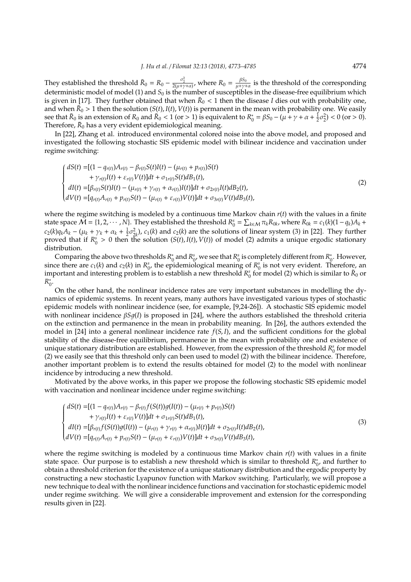They established the threshold  $\bar{R}_0 = R_0 - \frac{\sigma_2^2}{2(\mu + \gamma + \alpha)}$ , where  $R_0 = \frac{\beta S_0}{\mu + \gamma + \alpha}$  $\frac{P^{00}}{\mu + \gamma + \alpha}$  is the threshold of the corresponding deterministic model of model (1) and  $S_0$  is the number of susceptibles in the disease-free equilibrium which is given in [17]. They further obtained that when  $\bar{R}_0 < 1$  then the disease *I* dies out with probability one, and when  $\bar{R}_0 > 1$  then the solution  $(S(t), I(t), V(t))$  is permanent in the mean with probability one. We easily see that  $\bar{R}_0$  is an extension of  $R_0$  and  $\bar{R}_0 < 1$  (or  $> 1$ ) is equivalent to  $R_0^*$  $\gamma_0^* = \beta S_0 - (\mu + \gamma + \alpha + \frac{1}{2}\sigma_2^2) < 0$  (or > 0). Therefore,  $\bar{R}_0$  has a very evident epidemiological meaning.

In [22], Zhang et al. introduced environmental colored noise into the above model, and proposed and investigated the following stochastic SIS epidemic model with bilinear incidence and vaccination under regime switching:

$$
\begin{cases}\ndS(t) = [(1 - q_{r(t)})A_{r(t)} - \beta_{r(t)}S(t)I(t) - (\mu_{r(t)} + p_{r(t)})S(t) \\
+ \gamma_{r(t)}I(t) + \varepsilon_{r(t)}V(t)]dt + \sigma_{1r(t)}S(t)dB_1(t), \\
dI(t) = [\beta_{r(t)}S(t)I(t) - (\mu_{r(t)} + \gamma_{r(t)} + \alpha_{r(t)})I(t)]dt + \sigma_{2r(t)}I(t)dB_2(t), \\
dV(t) = [q_{r(t)}A_{r(t)} + p_{r(t)}S(t) - (\mu_{r(t)} + \varepsilon_{r(t)})V(t)]dt + \sigma_{3r(t)}V(t)dB_3(t),\n\end{cases}
$$
\n(2)

where the regime switching is modeled by a continuous time Markov chain *r*(*t*) with the values in a finite state space  $\widetilde{M} = \{1, 2, \cdots, N\}$ . They established the threshold  $R_0^s = \sum_{k \in M} \pi_k R_{0k}$ , where  $R_{0k} = c_1(k)(1-q_k)A_k +$  $c_2(k)q_kA_k - (\mu_k + \gamma_k + \alpha_k + \frac{1}{2}\sigma_{2k}^2)$ ,  $c_1(k)$  and  $c_2(k)$  are the solutions of linear system (3) in [22]. They further proved that if  $R_0^s > 0$  then the solution  $(S(t), I(t), V(t))$  of model (2) admits a unique ergodic stationary distribution.

Comparing the above two thresholds *R* ∗  $\frac{1}{2}$  and  $R_0^s$ , we see that  $R_0^s$  is completely different from  $R_0^s$  $\phi$ . However, since there are  $c_1(k)$  and  $c_2(k)$  in  $R_0^s$ , the epidemiological meaning of  $R_0^s$  is not very evident. Therefore, an important and interesting problem is to establish a new threshold  $R_0^s$  for model (2) which is similar to  $\bar{R}_0$  or *R* ∗  $_{0}^{\ast}$ .

On the other hand, the nonlinear incidence rates are very important substances in modelling the dynamics of epidemic systems. In recent years, many authors have investigated various types of stochastic epidemic models with nonlinear incidence (see, for example, [9,24-26]). A stochastic SIS epidemic model with nonlinear incidence β*S*1(*I*) is proposed in [24], where the authors established the threshold criteria on the extinction and permanence in the mean in probability meaning. In [26], the authors extended the model in [24] into a general nonlinear incidence rate *f*(*S*, *I*), and the sufficient conditions for the global stability of the disease-free equilibrium, permanence in the mean with probability one and existence of unique stationary distribution are established. However, from the expression of the threshold  $R_0^s$  for model (2) we easily see that this threshold only can been used to model (2) with the bilinear incidence. Therefore, another important problem is to extend the results obtained for model (2) to the model with nonlinear incidence by introducing a new threshold.

Motivated by the above works, in this paper we propose the following stochastic SIS epidemic model with vaccination and nonlinear incidence under regime switching:

$$
\begin{cases}\ndS(t) = [(1 - q_{r(t)})A_{r(t)} - \beta_{r(t)}f(S(t))g(I(t)) - (\mu_{r(t)} + p_{r(t)})S(t) \\
+ \gamma_{r(t)}I(t) + \varepsilon_{r(t)}V(t)]dt + \sigma_{1r(t)}S(t)dB_1(t), \\
dI(t) = [\beta_{r(t)}f(S(t))g(I(t)) - (\mu_{r(t)} + \gamma_{r(t)} + \alpha_{r(t)})I(t)]dt + \sigma_{2r(t)}I(t)dB_2(t), \\
dV(t) = [\frac{q_{r(t)}A_{r(t)}}{r(t)} + \frac{p_{r(t)}S(t)} - (\mu_{r(t)} + \varepsilon_{r(t)})V(t)]dt + \sigma_{3r(t)}V(t)dB_3(t),\n\end{cases} \tag{3}
$$

where the regime switching is modeled by a continuous time Markov chain *r*(*t*) with values in a finite state space. Our purpose is to establish a new threshold which is similar to threshold  $R_t^s$  $_{0}^{*}$ , and further to obtain a threshold criterion for the existence of a unique stationary distribution and the ergodic property by constructing a new stochastic Lyapunov function with Markov switching. Particularly, we will propose a new technique to deal with the nonlinear incidence functions and vaccination for stochastic epidemic model under regime switching. We will give a considerable improvement and extension for the corresponding results given in [22].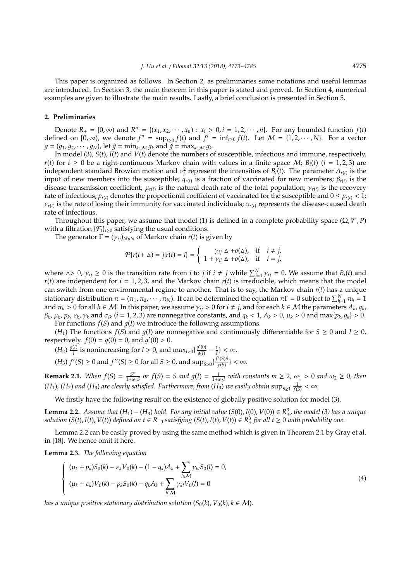This paper is organized as follows. In Section 2, as preliminaries some notations and useful lemmas are introduced. In Section 3, the main theorem in this paper is stated and proved. In Section 4, numerical examples are given to illustrate the main results. Lastly, a brief conclusion is presented in Section 5.

## **2. Preliminaries**

Denote  $R_+ = [0, \infty)$  and  $R_+^n = \{(x_1, x_2, \dots, x_n) : x_i > 0, i = 1, 2, \dots, n\}$ . For any bounded function *f*(*t*) defined on  $[0, \infty)$ , we denote  $f^u = \sup_{t \ge 0} f(t)$  and  $f^l = \inf_{t \ge 0} f(t)$ . Let  $M = \{1, 2, \cdots, N\}$ . For a vector  $g = (g_1, g_2, \dots, g_N)$ , let  $\hat{g} = \min_{k \in \mathcal{M}} g_k$  and  $\hat{g} = \max_{k \in \mathcal{M}} g_k$ .

In model (3), *S*(*t*), *I*(*t*) and *V*(*t*) denote the numbers of susceptible, infectious and immune, respectively. *r*(*t*) for  $t \ge 0$  be a right-continuous Markov chain with values in a finite space M; *B<sub>i</sub>*(*t*) (*i* = 1, 2, 3) are independent standard Browian motion and  $\sigma_i^2$  represent the intensities of *B*<sub>*i*</sub>(*t*). The parameter  $A_{r(t)}$  is the input of new members into the susceptible;  $q_{r(t)}$  is a fraction of vaccinated for new members;  $\beta_{r(t)}$  is the disease transmission coefficient;  $\mu_{r(t)}$  is the natural death rate of the total population;  $\gamma_{r(t)}$  is the recovery rate of infectious;  $p_{r(t)}$  denotes the proportional coefficient of vaccinated for the susceptible and  $0 \leq p_{r(t)} < 1$ ;  $\varepsilon_{r(t)}$  is the rate of losing their immunity for vaccinated individuals;  $\alpha_{r(t)}$  represents the disease-caused death rate of infectious.

Throughout this paper, we assume that model (1) is defined in a complete probability space  $(\Omega, \mathcal{F}, P)$ with a filtration  $\{\mathcal{F}_t\}_{t\geq 0}$  satisfying the usual conditions.

The generator  $\Gamma = (\gamma_{ij})_{N \times N}$  of Markov chain  $r(t)$  is given by

$$
\mathcal{P}\{r(t+\Delta)=j|r(t)=i\}=\left\{\begin{array}{cc}\gamma_{ij}\,\Delta+o(\Delta),&\text{if}&i\neq j,\\1+\gamma_{ii}\,\Delta+o(\Delta),&\text{if}&i=j,\end{array}\right.
$$

where  $\Delta > 0$ ,  $\gamma_{ij} \ge 0$  is the transition rate from *i* to *j* if  $i \ne j$  while  $\sum_{j=1}^{N} \gamma_{ij} = 0$ . We assume that  $B_i(t)$  and  $r(t)$  are independent for  $i = 1, 2, 3$ , and the Markov chain  $r(t)$  is irreducible, which means that the model can switch from one environmental regime to another. That is to say, the Markov chain *r*(*t*) has a unique stationary distribution  $\pi = (\pi_1, \pi_2, \cdots, \pi_N)$ . It can be determined the equation  $\pi \Gamma = 0$  subject to  $\sum_{h=1}^{N} \pi_h = 1$ and  $\pi_h > 0$  for all  $h \in \mathcal{M}$ . In this paper, we assume  $\gamma_{ij} > 0$  for  $i \neq j$ , and for each  $k \in \mathcal{M}$  the parameters  $A_k$ ,  $q_k$ ,  $\beta_k$ ,  $\mu_k$ ,  $p_k$ ,  $\varepsilon_k$ ,  $\gamma_k$  and  $\sigma_{ik}$   $(i=1,2,\tilde{3})$  are nonnegative constants, and  $q_k < 1$ ,  $A_k > 0$ ,  $\mu_k > 0$  and max{ $p_k$ ,  $q_k$ }  $> 0$ . For functions  $f(S)$  and  $g(I)$  we introduce the following assumptions.

(*H*<sub>1</sub>) The functions *f*(*S*) and *g*(*I*) are nonnegative and continuously differentiable for *S* ≥ 0 and *I* ≥ 0, respectively.  $f(0) = g(0) = 0$ , and  $g'(0) > 0$ .

 $(H_2) \frac{g(I)}{I}$ *I*<sup>I</sup> is nonincreasing for *I* > 0, and max<sub>*I*>0</sub>{ $\frac{g'(0)}{g(I)}$  $\frac{q'(0)}{q(I)} - \frac{1}{I}$ } < ∞.

 $(H_3)$   $f'(S) \ge 0$  and  $f''(S) \ge 0$  for all  $S \ge 0$ , and  $\sup_{S>0} \{\frac{f'(S)S}{f(S)}\}$  $\frac{f(S)S}{f(S)}$ } < ∞.

**Remark 2.1.** *When*  $f(S) = \frac{S^m}{1+\omega}$  $\frac{S^m}{1+\omega_1S}$  or  $f(S) = S$  and  $g(I) = \frac{I}{1+\omega_2I}$  with constants  $m \geq 2$ ,  $\omega_1 > 0$  and  $\omega_2 \geq 0$ , then  $(H_1)$ ,  $(H_2)$  and  $(H_3)$  are clearly satisfied. Furthermore, from  $(H_3)$  we easily obtain  $\sup_{S\geq 1} \frac{1}{f(S)} < \infty$ .

We firstly have the following result on the existence of globally positive solution for model (3).

**Lemma 2.2.** *Assume that*  $(H_1) - (H_3)$  *hold. For any initial value*  $(S(0), I(0), V(0)) \in R^3_+$ *, the model* (3) *has a unique* solution (S(t), I(t), V(t)) defined on  $t \in R_{+0}$  satisfying (S(t), I(t), V(t))  $\in R^3_+$  for all  $t \ge 0$  with probability one.

Lemma 2.2 can be easily proved by using the same method which is given in Theorem 2.1 by Gray et al. in [18]. We hence omit it here.

**Lemma 2.3.** *The following equation*

$$
\begin{cases}\n(\mu_k + p_k)S_0(k) - \varepsilon_k V_0(k) - (1 - q_k)A_k + \sum_{l \in \mathcal{M}} \gamma_{kl} S_0(l) = 0, \\
(\mu_k + \varepsilon_k) V_0(k) - p_k S_0(k) - q_k A_k + \sum_{l \in \mathcal{M}} \gamma_{kl} V_0(l) = 0\n\end{cases}
$$
\n(4)

*has a unique positive stationary distribution solution*  $(S_0(k), V_0(k), k \in M)$ .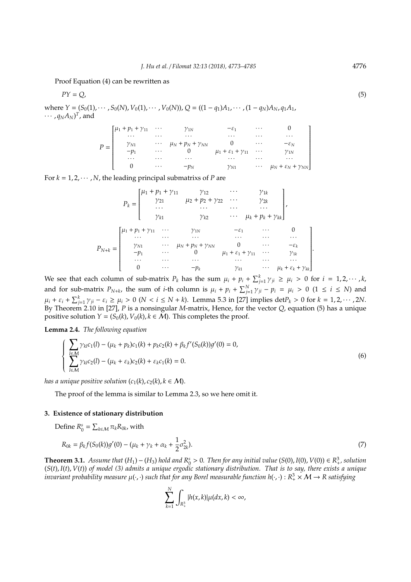Proof Equation (4) can be rewritten as

$$
PY = Q,\tag{5}
$$

where  $Y = (S_0(1), \dots, S_0(N), V_0(1), \dots, V_0(N)), Q = ((1 - q_1)A_1, \dots, (1 - q_N)A_N, q_1A_1,$  $\cdots$ ,  $q_N A_N$ )<sup>T</sup>, and

|  | $\left[ \mu_1 + p_1 + \gamma_{11} \cdots \right]$ |          | ${\cal V}_{1N}$             | $-\varepsilon_1$                      | $\cdots$   |                                       |
|--|---------------------------------------------------|----------|-----------------------------|---------------------------------------|------------|---------------------------------------|
|  | $\cdots$                                          | .        | .                           | $\cdots$                              | $\cdots$   | $\cdots$                              |
|  | $\gamma_{N1}$                                     | $\cdots$ | $\mu_N + p_N + \gamma_{NN}$ |                                       | $\cdots$   | $-\varepsilon_N$                      |
|  | $-p_1$                                            | $\cdots$ |                             | $\mu_1 + \varepsilon_1 + \gamma_{11}$ | $\cdots$   | ${\gamma}_{\text{1N}}$                |
|  | $\cdots$                                          | .        | $\cdots$                    | $\cdots$                              | $\cdots$   | $\cdots$                              |
|  |                                                   | $\cdots$ | $-p_N$                      | $\gamma_{N1}$                         | $\ldots$ . | $\mu_N + \varepsilon_N + \gamma_{NN}$ |

For  $k = 1, 2, \cdots, N$ , the leading principal submatrixs of *P* are

$$
P_{k} = \begin{bmatrix} \mu_{1} + p_{1} + \gamma_{11} & \gamma_{12} & \cdots & \gamma_{1k} \\ \gamma_{21} & \mu_{2} + p_{2} + \gamma_{22} & \cdots & \gamma_{2k} \\ \cdots & \cdots & \cdots & \cdots \\ \gamma_{k1} & \gamma_{k2} & \cdots & \mu_{k} + p_{k} + \gamma_{kk} \end{bmatrix},
$$
  
\n
$$
P_{N+k} = \begin{bmatrix} \mu_{1} + p_{1} + \gamma_{11} & \cdots & \gamma_{1N} & -\varepsilon_{1} & \cdots & 0 \\ \cdots & \cdots & \cdots & \cdots & \cdots & \cdots \\ \gamma_{N1} & \cdots & \mu_{N} + p_{N} + \gamma_{NN} & 0 & \cdots & -\varepsilon_{k} \\ -p_{1} & \cdots & 0 & \mu_{1} + \varepsilon_{1} + \gamma_{11} & \cdots & \gamma_{1k} \\ \cdots & \cdots & \cdots & \cdots & \cdots & \cdots \\ 0 & \cdots & -p_{k} & \gamma_{k1} & \cdots & \mu_{k} + \varepsilon_{k} + \gamma_{kk} \end{bmatrix}.
$$

We see that each column of sub-matrix  $P_k$  has the sum  $\mu_i + p_i + \sum_{j=1}^k \gamma_{ji} \ge \mu_i > 0$  for  $i = 1, 2, \cdots, k$ , and for sub-matrix  $P_{N+k}$ , the sum of *i*-th column is  $\mu_i + p_i + \sum_{j=1}^{N} \gamma_{ji} - p_i = \mu_i > 0$  (1 ≤ *i* ≤ *N*) and  $\mu_i + \varepsilon_i + \sum_{j=1}^k \gamma_{ji} - \varepsilon_i \ge \mu_i > 0$  ( $N < i \le N + k$ ). Lemma 5.3 in [27] implies det $P_k > 0$  for  $k = 1, 2, \cdots, 2N$ . By Theorem 2.10 in [27], *P* is a nonsingular *M*-matrix, Hence, for the vector *Q*, equation (5) has a unique positive solution *Y* = (*S*<sub>0</sub>(*k*), *V*<sub>0</sub>(*k*), *k*  $\in$  *M*). This completes the proof.

**Lemma 2.4.** *The following equation*

$$
\begin{cases} \sum_{l \in \mathcal{M}} \gamma_{kl} c_1(l) - (\mu_k + p_k)c_1(k) + p_k c_2(k) + \beta_k f'(S_0(k))g'(0) = 0, \\ \sum_{l \in \mathcal{M}} \gamma_{kl} c_2(l) - (\mu_k + \varepsilon_k)c_2(k) + \varepsilon_k c_1(k) = 0. \end{cases}
$$
(6)

*has a unique positive solution*  $(c_1(k), c_2(k), k \in M)$ .

The proof of the lemma is similar to Lemma 2.3, so we here omit it.

# **3. Existence of stationary distribution**

Define  $R_0^s = \sum_{k \in \mathcal{M}} \pi_k R_{0k}$ , with

$$
R_{0k} = \beta_k f(S_0(k))g'(0) - (\mu_k + \gamma_k + \alpha_k + \frac{1}{2}\sigma_{2k}^2). \tag{7}
$$

**Theorem 3.1.** *Assume that*  $(H_1) - (H_3)$  *hold and*  $R_0^s > 0$ . *Then for any initial value*  $(S(0), I(0), V(0)) \in R_+^3$ *, solution* (*S*(*t*), *I*(*t*), *V*(*t*)) *of model (3) admits a unique ergodic stationary distribution. That is to say, there exists a unique* invariant probability measure  $\mu(\cdot,\cdot)$  such that for any Borel measurable function h( $\cdot,\cdot$ ):  $R_+^3$   $\times$   $\cal M$   $\to$  R satisfying

$$
\sum_{k=1}^N \int_{R^3_+} |h(x,k)| \mu(dx,k) < \infty,
$$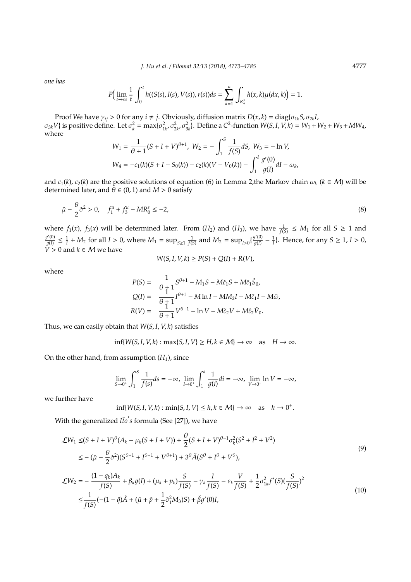*J. Hu et al.* / *Filomat 32:13 (2018), 4773–4785* 4777

*one has*

$$
P\Big(\lim_{t\to\infty}\frac{1}{t}\int_0^t h((S(s),I(s),V(s)),r(s))ds=\sum_{k=1}^n\int_{R_+^3}h(x,k)\mu(dx,k)\Big)=1.
$$

Proof We have  $\gamma_{ij} > 0$  for any  $i \neq j$ . Obviously, diffusion matrix  $D(x, k) = \text{diag}\{\sigma_{1k}S, \sigma_{2k}I,$  $\sigma_{3k}V$ } is positive define. Let  $\sigma_k^2 = \max{\{\sigma_{1k}^2, \sigma_{2k}^2, \sigma_{3k}^2\}}$ . Define a  $C^2$ -function  $W(S, I, V, k) = W_1 + W_2 + W_3 + MW_4$ . where  $\alpha$ <sup>S</sup>

$$
W_1 = \frac{1}{\theta + 1} (S + I + V)^{\theta + 1}, \ W_2 = -\int_1^S \frac{1}{f(S)} dS, \ W_3 = -\ln V,
$$
  

$$
W_4 = -c_1(k)(S + I - S_0(k)) - c_2(k)(V - V_0(k)) - \int_1^l \frac{g'(0)}{g(I)} dI - \omega_k,
$$

and  $c_1(k)$ ,  $c_2(k)$  are the positive solutions of equation (6) in Lemma 2, the Markov chain  $\omega_k$  ( $k \in M$ ) will be determined later, and  $\theta \in (0, 1)$  and  $M > 0$  satisfy

$$
\hat{\mu} - \frac{\theta}{2} \check{\sigma}^2 > 0, \quad f_1^u + f_3^u - MR_0^s \le -2,\tag{8}
$$

where  $f_1(x)$ ,  $f_3(x)$  will be determined later. From  $(H_2)$  and  $(H_3)$ , we have  $\frac{1}{f(5)} \leq M_1$  for all  $S \geq 1$  and  $g'(0)$  $\frac{f'(0)}{g(I)} \le \frac{1}{I} + M_2$  for all  $I > 0$ , where  $M_1 = \sup_{S \ge 1} \frac{1}{f(S)}$  and  $M_2 = \sup_{I > 0} {\{\frac{g'(0)}{g(I)}\}}$  $\frac{f'(0)}{g(1)} - \frac{1}{I}$ }. Hence, for any *S* ≥ 1, *I* > 0,  $V > 0$  and  $k \in M$  we have

$$
W(S, I, V, k) \ge P(S) + Q(I) + R(V),
$$

where

$$
P(S) = \frac{1}{\theta + 1} S^{\theta + 1} - M_1 S - M \tilde{c}_1 S + M \hat{c}_1 \hat{S}_0,
$$
  
\n
$$
Q(I) = \frac{1}{\theta + 1} I^{\theta + 1} - M \ln I - M M_2 I - M \tilde{c}_1 I - M \tilde{\omega},
$$
  
\n
$$
R(V) = \frac{1}{\theta + 1} V^{\theta + 1} - \ln V - M \tilde{c}_2 V + M \hat{c}_2 \hat{V}_0.
$$

Thus, we can easily obtain that *W*(*S*, *I*, *V*, *k*) satisfies

$$
\inf\{W(S, I, V, k) : \max\{S, I, V\} \ge H, k \in \mathcal{M}\} \to \infty \quad \text{as} \quad H \to \infty.
$$

On the other hand, from assumption  $(H_1)$ , since

$$
\lim_{S \to 0^+} \int_1^S \frac{1}{f(s)} ds = -\infty, \lim_{I \to 0^+} \int_1^I \frac{1}{g(i)} di = -\infty, \lim_{V \to 0^+} \ln V = -\infty,
$$

we further have

$$
\inf\{W(S, I, V, k) : \min\{S, I, V\} \le h, k \in \mathcal{M}\} \to \infty \quad \text{as} \quad h \to 0^+.
$$

With the generalized *It̂o's* formula (See [27]), we have

$$
\mathcal{L}W_1 \leq (S + I + V)^{\theta} (A_k - \mu_k (S + I + V)) + \frac{\theta}{2} (S + I + V)^{\theta - 1} \sigma_k^2 (S^2 + I^2 + V^2)
$$
  

$$
\leq -(\hat{\mu} - \frac{\theta}{2} \check{\sigma}^2) (S^{\theta + 1} + I^{\theta + 1} + V^{\theta + 1}) + 3^{\theta} \check{A} (S^{\theta} + I^{\theta} + V^{\theta}),
$$
\n(9)

$$
\mathcal{L}W_2 = -\frac{(1 - q_k)A_k}{f(S)} + \beta_k g(I) + (\mu_k + p_k) \frac{S}{f(S)} - \gamma_k \frac{I}{f(S)} - \varepsilon_k \frac{V}{f(S)} + \frac{1}{2} \sigma_{1k}^2 f'(S) (\frac{S}{f(S)})^2
$$
  

$$
\leq \frac{1}{f(S)} (- (1 - \breve{q})\hat{A} + (\breve{\mu} + \breve{p} + \frac{1}{2} \breve{\sigma}_1^2 M_3)S) + \breve{\beta}g'(0)I,
$$
 (10)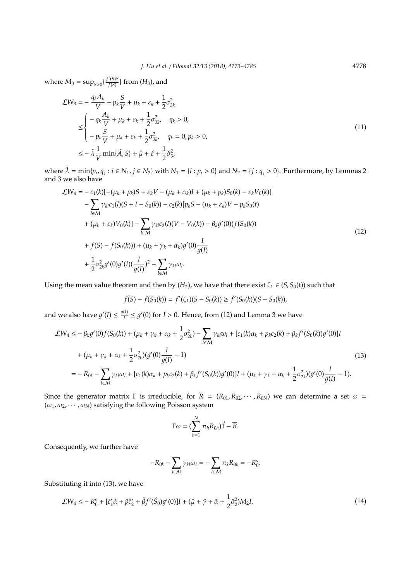where  $M_3 = \sup_{S>0} {\{\frac{f'(S)S}{f(S)}\}}$  $\frac{f(S)S}{f(S)}\}$  from  $(H_3)$ , and

$$
\mathcal{L}W_3 = -\frac{q_k A_k}{V} - p_k \frac{S}{V} + \mu_k + \varepsilon_k + \frac{1}{2} \sigma_{3k}^2
$$
  
\n
$$
\leq \begin{cases}\n-\frac{A_k}{V} + \mu_k + \varepsilon_k + \frac{1}{2} \sigma_{3k}^2, & q_k > 0, \\
-p_k \frac{S}{V} + \mu_k + \varepsilon_k + \frac{1}{2} \sigma_{3k}^2, & q_k = 0, p_k > 0, \\
\leq -\lambda \frac{1}{V} \min\{\hat{A}, S\} + \check{\mu} + \check{\varepsilon} + \frac{1}{2} \check{\sigma}_{3k}^2\n\end{cases}
$$
\n(11)

where  $\hat{\lambda} = \min\{p_i, q_j : i \in N_1, j \in N_2\}$  with  $N_1 = \{i : p_i > 0\}$  and  $N_2 = \{j : q_j > 0\}$ . Furthermore, by Lemmas 2 and 3 we also have

$$
\mathcal{L}W_4 = -c_1(k)[-(\mu_k + p_k)S + \varepsilon_k V - (\mu_k + \alpha_k)I + (\mu_k + p_k)S_0(k) - \varepsilon_k V_0(k)]
$$
  
\n
$$
- \sum_{l \in \mathcal{M}} \gamma_{kl}c_1(l)(S + I - S_0(k)) - c_2(k)[p_kS - (\mu_k + \varepsilon_k)V - p_kS_0(t)
$$
  
\n
$$
+ (\mu_k + \varepsilon_k)V_0(k)] - \sum_{l \in \mathcal{M}} \gamma_{kl}c_2(l)(V - V_0(k)) - \beta_k g'(0)(f(S_0(k))
$$
  
\n
$$
+ f(S) - f(S_0(k))) + (\mu_k + \gamma_k + \alpha_k)g'(0)\frac{I}{g(I)}
$$
  
\n
$$
+ \frac{1}{2}\sigma_{2k}^2 g'(0)g'(I)(\frac{I}{g(I)})^2 - \sum_{l \in \mathcal{M}} \gamma_{kl}\omega_l.
$$
\n(12)

Using the mean value theorem and then by  $(H_2)$ , we have that there exist  $\zeta_1 \in (S, S_0(t))$  such that

$$
f(S) - f(S_0(k)) = f'(\zeta_1)(S - S_0(k)) \ge f'(S_0(k))(S - S_0(k)),
$$

and we also have  $g'(I) \leq \frac{g(I)}{I}$  $\frac{I(I)}{I} \leq g'(0)$  for *I* > 0. Hence, from (12) and Lemma 3 we have

$$
\mathcal{L}W_4 \leq -\beta_k g'(0)f(S_0(k)) + (\mu_k + \gamma_k + \alpha_k + \frac{1}{2}\sigma_{2k}^2) - \sum_{l \in \mathcal{M}} \gamma_{kl} w_l + [c_1(k)\alpha_k + p_k c_2(k) + \beta_k f'(S_0(k))g'(0)]I
$$
  
+  $(\mu_k + \gamma_k + \alpha_k + \frac{1}{2}\sigma_{2k}^2)(g'(0)\frac{I}{g(1)} - 1)$   
=  $-R_{0k} - \sum_{l \in \mathcal{M}} \gamma_{kl}\omega_l + [c_1(k)\alpha_k + p_k c_2(k) + \beta_k f'(S_0(k))g'(0)]I + (\mu_k + \gamma_k + \alpha_k + \frac{1}{2}\sigma_{2k}^2)(g'(0)\frac{I}{g(1)} - 1).$  (13)

Since the generator matrix  $\Gamma$  is irreducible, for  $\overline{R} = (R_{01}, R_{02}, \cdots, R_{0N})$  we can determine a set  $\omega =$  $(\omega_1, \omega_2, \cdots, \omega_N)$  satisfying the following Poisson system

$$
\Gamma \omega = (\sum_{h=1}^N \pi_h R_{0h}) \vec{1} - \vec{R}.
$$

Consequently, we further have

$$
-R_{0k}-\sum_{l\in\mathcal{M}}\gamma_{kl}\omega_l=-\sum_{l\in\mathcal{M}}\pi_kR_{0k}=-R_0^s.
$$

Substituting it into (13), we have

$$
\mathcal{L}W_4 \le -R_0^s + [\check{c}_1^* \check{\alpha} + \check{p}\check{c}_2^* + \check{\beta}f'(\check{S}_0)g'(0)]I + (\check{\mu} + \check{\gamma} + \check{\alpha} + \frac{1}{2}\check{\sigma}_2^2)M_2I.
$$
\n(14)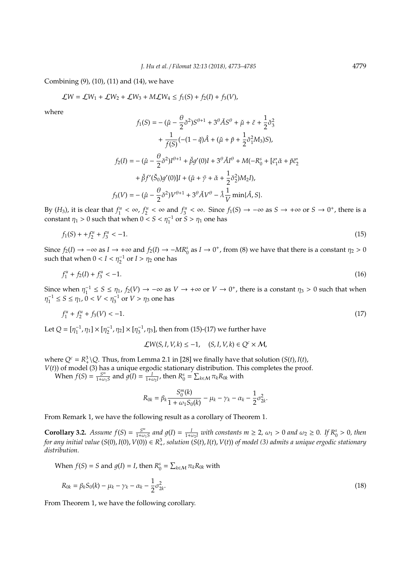Combining (9), (10), (11) and (14), we have

$$
\mathcal{L}W = \mathcal{L}W_1 + \mathcal{L}W_2 + \mathcal{L}W_3 + M\mathcal{L}W_4 \le f_1(S) + f_2(I) + f_3(V),
$$

where

$$
f_1(S) = -(\hat{\mu} - \frac{\theta}{2}\check{\sigma}^2)S^{\theta+1} + 3^{\theta}\check{A}S^{\theta} + \check{\mu} + \check{\epsilon} + \frac{1}{2}\check{\sigma}_3^2 + \frac{1}{f(S)}(-(1-\check{\eta})\hat{A} + (\check{\mu} + \check{p} + \frac{1}{2}\check{\sigma}_1^2M_3)S),
$$
  

$$
f_2(I) = -(\hat{\mu} - \frac{\theta}{2}\check{\sigma}^2)I^{\theta+1} + \check{\beta}g'(0)I + 3^{\theta}\check{A}I^{\theta} + M(-R_0^s + [\check{c}_1^*\check{\alpha} + \check{p}\check{c}_2^*) + \check{\beta}f'(\check{S}_0)g'(0)I + (\check{\mu} + \check{\gamma} + \check{\alpha} + \frac{1}{2}\check{\sigma}_2^2)M_2I),
$$
  

$$
f_3(V) = -(\hat{\mu} - \frac{\theta}{2}\check{\sigma}^2)V^{\theta+1} + 3^{\theta}\check{A}V^{\theta} - \hat{\lambda}\frac{1}{V}\min{\{\hat{A}, S\}}.
$$

By  $(H_3)$ , it is clear that  $f_1^u < \infty$ ,  $f_2^u < \infty$  and  $f_3^u < \infty$ . Since  $f_1(S) \to -\infty$  as  $S \to +\infty$  or  $S \to 0^+$ , there is a constant  $\eta_1 > 0$  such that when  $0 < S < \eta_1^{-1}$  or  $S > \eta_1$  one has

$$
f_1(S) + f_2^u + f_3^u < -1. \tag{15}
$$

Since  $f_2(I) \to -\infty$  as  $I \to +\infty$  and  $f_2(I) \to -MR_0^s$  as  $I \to 0^+$ , from (8) we have that there is a constant  $\eta_2 > 0$ such that when  $0 < I < \eta_2^{-1}$  or  $I > \eta_2$  one has

$$
f_1^u + f_2(I) + f_3^u < -1. \tag{16}
$$

Since when  $\eta_1^{-1} \le S \le \eta_1$ ,  $f_2(V) \to -\infty$  as  $V \to +\infty$  or  $V \to 0^+$ , there is a constant  $\eta_3 > 0$  such that when  $\eta_1^{-1} \le S \le \eta_1$ ,  $0 < V < \eta_3^{-1}$  or  $V > \eta_3$  one has

$$
f_1^u + f_2^u + f_3(V) < -1. \tag{17}
$$

Let  $Q = [\eta_1^{-1}, \eta_1] \times [\eta_2^{-1}, \eta_2] \times [\eta_3^{-1}, \eta_3]$ , then from (15)-(17) we further have

$$
\mathcal{L}W(S, I, V, k) \le -1, \quad (S, I, V, k) \in Q^c \times \mathcal{M},
$$

where  $Q^c = R^3 + Q$ . Thus, from Lemma 2.1 in [28] we finally have that solution (*S*(*t*), *I*(*t*),

*V*(*t*)) of model (3) has a unique ergodic stationary distribution. This completes the proof.

When  $f(S) = \frac{S^m}{1+\omega}$  $\frac{S^m}{1+\omega_1S}$  and  $g(I) = \frac{I}{1+\omega_2I}$ , then  $R_0^s = \sum_{k \in \mathcal{M}} \pi_k R_{0k}$  with

$$
R_{0k} = \beta_k \frac{S_0^m(k)}{1 + \omega_1 S_0(k)} - \mu_k - \gamma_k - \alpha_k - \frac{1}{2} \sigma_{2k}^2.
$$

From Remark 1, we have the following result as a corollary of Theorem 1.

**Corollary 3.2.** *Assume*  $f(S) = \frac{S^m}{1+\omega}$  $\frac{S^m}{1+\omega_1S}$  and  $g(I) = \frac{I}{1+\omega_2I}$  with constants  $m \geq 2$ ,  $\omega_1 > 0$  and  $\omega_2 \geq 0$ *.* If  $R_0^s > 0$ , then *for any initial value* (*S*(0), *I*(0), *V*(0)) ∈ R $^3_+$ , solution (*S*(*t*), *I*(*t*), *V*(*t*)) of model (3) admits a unique ergodic stationary *distribution.*

When 
$$
f(S) = S
$$
 and  $g(I) = I$ , then  $R_0^s = \sum_{k \in \mathcal{M}} \pi_k R_{0k}$  with

$$
R_{0k} = \beta_k S_0(k) - \mu_k - \gamma_k - \alpha_k - \frac{1}{2} \sigma_{2k}^2.
$$
\n(18)

From Theorem 1, we have the following corollary.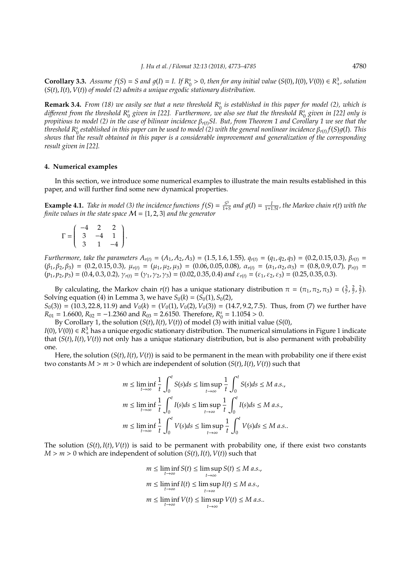**Corollary 3.3.** *Assume*  $f(S) = S$  and  $g(I) = I$ . If  $R_0^s > 0$ , then for any initial value  $(S(0), I(0), V(0)) \in R_+^3$ , solution (*S*(*t*), *I*(*t*), *V*(*t*)) *of model (2) admits a unique ergodic stationary distribution.*

**Remark 3.4.** *From (18)* we easily see that a new threshold  $R_0^s$  is established in this paper for model (2), which is *di*ff*erent from the threshold R<sup>s</sup>* 0 *given in [22]. Furthermore, we also see that the threshold R<sup>s</sup>* 0 *given in [22] only is propitious to model (2) in the case of bilinear incidence* β*<sup>r</sup>*(*t*)*SI. But, from Theorem 1 and Corollary 1 we see that the threshold R<sup>s</sup>* 0 *established in this paper can be used to model (2) with the general nonlinear incidence* β*<sup>r</sup>*(*t*) *f*(*S*)1(*I*)*. This shows that the result obtained in this paper is a considerable improvement and generalization of the corresponding result given in [22].*

### **4. Numerical examples**

In this section, we introduce some numerical examples to illustrate the main results established in this paper, and will further find some new dynamical properties.

**Example 4.1.** *Take in model* (3) *the incidence functions*  $f(S) = \frac{S^3}{1+s}$  $\frac{S^3}{1+S}$  and  $g(I) = \frac{I}{1+1.5I}$ , the Markov chain r(*t*) with the *finite values in the state space* M = {1, 2, 3} *and the generator*

|              | $\mathcal{D}$ |     |  |
|--------------|---------------|-----|--|
| $\Gamma = 3$ |               | -1. |  |
| 3            | $\mathbf{1}$  |     |  |

Furthermore, take the parameters  $A_{r(t)} = (A_1, A_2, A_3) = (1.5, 1.6, 1.55), q_{r(t)} = (q_1, q_2, q_3) = (0.2, 0.15, 0.3), \beta_{r(t)} = (q_1, q_2, q_3)$  $(\beta_1, \beta_2, \beta_3) = (0.2, 0.15, 0.3), \mu_{r(t)} = (\mu_1, \mu_2, \mu_3) = (0.06, 0.05, 0.08), \alpha_{r(t)} = (\alpha_1, \alpha_2, \alpha_3) = (0.8, 0.9, 0.7), p_{r(t)} = (0.0, 0.05, 0.05, 0.05, 0.05, 0.05, 0.05)$  $(p_1, p_2, p_3) = (0.4, 0.3, 0.2),$   $\gamma_{r(t)} = (\gamma_1, \gamma_2, \gamma_3) = (0.02, 0.35, 0.4)$  *and*  $\varepsilon_{r(t)} = (\varepsilon_1, \varepsilon_2, \varepsilon_3) = (0.25, 0.35, 0.3)$ *.* 

By calculating, the Markov chain  $r(t)$  has a unique stationary distribution  $\pi = (\pi_1, \pi_2, \pi_3) = (\frac{3}{7}, \frac{2}{7}, \frac{2}{7})$ . Solving equation (4) in Lemma 3, we have  $S_0(k) = (S_0(1), S_0(2))$ ,  $S_0(3)$  = (10.3, 22.8, 11.9) and  $V_0(k)$  = ( $V_0(1)$ ,  $V_0(2)$ ,  $V_0(3)$ ) = (14.7, 9.2, 7.5). Thus, from (7) we further have

 $R_{01} = 1.6600, R_{02} = -1.2360$  and  $R_{03} = 2.6150$ . Therefore,  $R_0^s = 1.1054 > 0$ .

By Corollary 1, the solution (*S*(*t*), *I*(*t*), *V*(*t*)) of model (3) with initial value (*S*(0),

*I*(0),  $V$ (0)) ∈  $R_+^3$  has a unique ergodic stationary distribution. The numerical simulations in Figure 1 indicate that (*S*(*t*), *I*(*t*), *V*(*t*)) not only has a unique stationary distribution, but is also permanent with probability one.

Here, the solution  $(S(t), I(t), V(t))$  is said to be permanent in the mean with probability one if there exist two constants  $M > m > 0$  which are independent of solution  $(S(t), I(t), V(t))$  such that

$$
m \le \liminf_{t \to \infty} \frac{1}{t} \int_0^t S(s)ds \le \limsup_{t \to \infty} \frac{1}{t} \int_0^t S(s)ds \le M \text{ a.s.},
$$
  

$$
m \le \liminf_{t \to \infty} \frac{1}{t} \int_0^t I(s)ds \le \limsup_{t \to \infty} \frac{1}{t} \int_0^t I(s)ds \le M \text{ a.s.},
$$
  

$$
m \le \liminf_{t \to \infty} \frac{1}{t} \int_0^t V(s)ds \le \limsup_{t \to \infty} \frac{1}{t} \int_0^t V(s)ds \le M \text{ a.s.}.
$$

The solution  $(S(t), I(t), V(t))$  is said to be permanent with probability one, if there exist two constants  $M > m > 0$  which are independent of solution  $(S(t), I(t), V(t))$  such that

> $m \leq \liminf_{t \to \infty} S(t) \leq \limsup_{t \to \infty} S(t) \leq M$  *a.s.*, *t*→∞  $m \leq \liminf_{t \to \infty} I(t) \leq \limsup_{t \to \infty} I(t) \leq M \text{ a.s.}$ *t*→∞  $m \leq \liminf_{t \to \infty} V(t) \leq \limsup_{t \to \infty} V(t) \leq M$  *a.s.*. *t*→∞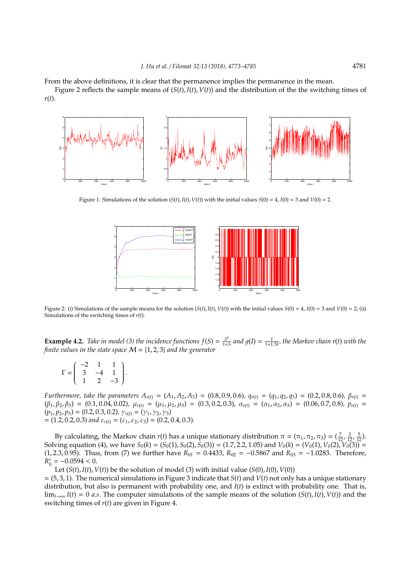From the above definitions, it is clear that the permanence implies the permanence in the mean.

Figure 2 reflects the sample means of (*S*(*t*), *I*(*t*), *V*(*t*)) and the distribution of the the switching times of *r*(*t*).



Figure 1: Simulations of the solution  $(S(t), I(t), V(t))$  with the initial values  $S(0) = 4$ ,  $I(0) = 3$  and  $V(0) = 2$ .



Figure 2: (i) Simulations of the sample means for the solution  $(S(t), I(t), V(t))$  with the initial values  $S(0) = 4$ ,  $I(0) = 3$  and  $V(0) = 2$ ; (ii) Simulations of the switching times of *r*(*t*).

**Example 4.2.** *Take in model* (3) *the incidence functions*  $f(S) = \frac{S^3}{1+s}$  $\frac{S^3}{1+S}$  and  $g(I) = \frac{I}{1+1.5I}$ , the Markov chain r(*t*) with the *finite values in the state space* M = {1, 2, 3} *and the generator*

 $\Gamma =$  $\begin{pmatrix} -2 & 1 & 1 \end{pmatrix}$  $\overline{\mathcal{C}}$  $3 -4 1$  $1 \t 2 \t -3$  $\lambda$  $\begin{array}{c} \end{array}$ .

Furthermore, take the parameters  $A_{r(t)} = (A_1, A_2, A_3) = (0.8, 0.9, 0.6), q_{r(t)} = (q_1, q_2, q_3) = (0.2, 0.8, 0.6), \beta_{r(t)} = (q_1, q_2, q_3)$  $(\beta_1, \beta_2, \beta_3) = (0.1, 0.04, 0.02), \mu_{r(t)} = (\mu_1, \mu_2, \mu_3) = (0.3, 0.2, 0.3), \alpha_{r(t)} = (\alpha_1, \alpha_2, \alpha_3) = (0.06, 0.7, 0.8), p_{r(t)} =$  $(p_1, p_2, p_3) = (0.2, 0.3, 0.2), \gamma_{r(t)} = (\gamma_1, \gamma_2, \gamma_3)$  $= (1.2, 0.2, 0.3)$  *and*  $\varepsilon_{r(t)} = (\varepsilon_1, \varepsilon_2, \varepsilon_3) = (0.2, 0.4, 0.3)$ *.* 

By calculating, the Markov chain  $r(t)$  has a unique stationary distribution  $\pi = (\pi_1, \pi_2, \pi_3) = (\frac{7}{12}, \frac{3}{12}, \frac{5}{12})$ . Solving equation (4), we have  $S_0(k) = (S_0(1), S_0(2), S_0(3)) = (1.7, 2.2, 1.05)$  and  $V_0(k) = (V_0(1), V_0(2), V_0(3)) =$ (1, 2.3, 0.95). Thus, from (7) we further have  $R_{01} = 0.4433$ ,  $R_{02} = -0.5867$  and  $R_{03} = -1.0283$ . Therefore,  $R_0^s = -0.0594 < 0.$ 

Let  $(S(t), I(t), V(t))$  be the solution of model (3) with initial value  $(S(0), I(0), V(0))$ 

= (5, 3, 1). The numerical simulations in Figure 3 indicate that *S*(*t*) and *V*(*t*) not only has a unique stationary distribution, but also is permanent with probability one, and *I*(*t*) is extinct with probability one. That is,  $\lim_{t\to\infty} I(t) = 0$  *a.s.* The computer simulations of the sample means of the solution  $(S(t), I(t), V(t))$  and the switching times of *r*(*t*) are given in Figure 4.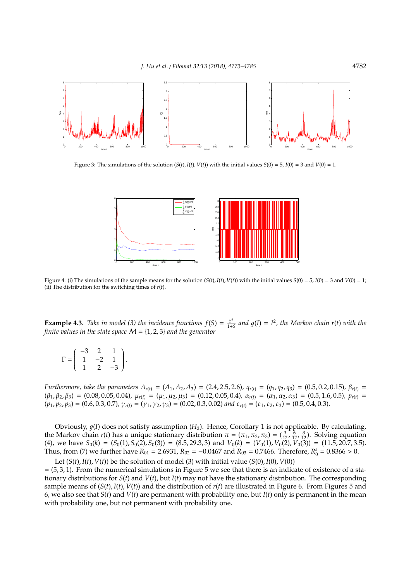

Figure 3: The simulations of the solution  $(S(t), I(t), V(t))$  with the initial values  $S(0) = 5$ ,  $I(0) = 3$  and  $V(0) = 1$ .



Figure 4: (i) The simulations of the sample means for the solution  $(S(t), I(t), V(t))$  with the initial values  $S(0) = 5$ ,  $I(0) = 3$  and  $V(0) = 1$ ; (ii) The distribution for the switching times of *r*(*t*).

**Example 4.3.** *Take in model* (3) *the incidence functions*  $f(S) = \frac{S^3}{1+s}$  $\frac{S^3}{1+S}$  and  $g(I) = I^2$ , the Markov chain r(*t*) with the *finite values in the state space* M = {1, 2, 3} *and the generator*

|                       | -3 | $\mathcal{P}$ |      |  |
|-----------------------|----|---------------|------|--|
| $\Gamma = \mathsf{I}$ | Ŧ  | $-2$          | п.   |  |
|                       |    | 2             | $-5$ |  |

Furthermore, take the parameters  $A_{r(t)} = (A_1, A_2, A_3) = (2.4, 2.5, 2.6), q_{r(t)} = (q_1, q_2, q_3) = (0.5, 0.2, 0.15), \beta_{r(t)} = (q_1, q_2, q_3)$  $(\beta_1, \beta_2, \beta_3) = (0.08, 0.05, 0.04)$ ,  $\mu_{r(t)} = (\mu_1, \mu_2, \mu_3) = (0.12, 0.05, 0.4)$ ,  $\alpha_{r(t)} = (\alpha_1, \alpha_2, \alpha_3) = (0.5, 1.6, 0.5)$ ,  $p_{r(t)} =$  $(p_1, p_2, p_3) = (0.6, 0.3, 0.7), \gamma_{r(t)} = (\gamma_1, \gamma_2, \gamma_3) = (0.02, 0.3, 0.02)$  *and*  $\varepsilon_{r(t)} = (\varepsilon_1, \varepsilon_2, \varepsilon_3) = (0.5, 0.4, 0.3)$ *.* 

Obviously,  $g(I)$  does not satisfy assumption (*H*<sub>2</sub>). Hence, Corollary 1 is not applicable. By calculating, the Markov chain *r*(*t*) has a unique stationary distribution  $\pi = (\pi_1, \pi_2, \pi_3) = (\frac{3}{12}, \frac{6}{12}, \frac{3}{12})$ . Solving equation (4), we have  $S_0(k) = (S_0(1), S_0(2), S_0(3)) = (8.5, 29.3, 3)$  and  $V_0(k) = (V_0(1), V_0(2), V_0(3)) = (11.5, 20.7, 3.5)$ . Thus, from (7) we further have  $R_{01} = 2.6931$ ,  $R_{02} = -0.0467$  and  $R_{03} = 0.7466$ . Therefore,  $R_0^s = 0.8366 > 0$ .

Let  $(S(t), I(t), V(t))$  be the solution of model (3) with initial value  $(S(0), I(0), V(0))$  $= (5, 3, 1)$ . From the numerical simulations in Figure 5 we see that there is an indicate of existence of a stationary distributions for *S*(*t*) and *V*(*t*), but *I*(*t*) may not have the stationary distribution. The corresponding sample means of (*S*(*t*), *I*(*t*), *V*(*t*)) and the distribution of *r*(*t*) are illustrated in Figure 6. From Figures 5 and 6, we also see that *S*(*t*) and *V*(*t*) are permanent with probability one, but *I*(*t*) only is permanent in the mean with probability one, but not permanent with probability one.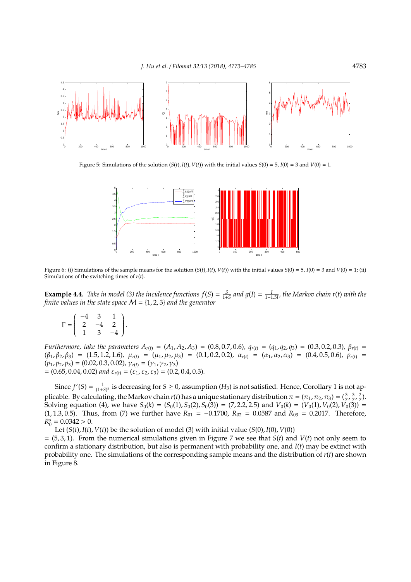

Figure 5: Simulations of the solution  $(S(t), I(t), V(t))$  with the initial values  $S(0) = 5$ ,  $I(0) = 3$  and  $V(0) = 1$ .



Figure 6: (i) Simulations of the sample means for the solution  $(S(t), I(t), V(t))$  with the initial values  $S(0) = 5$ ,  $I(0) = 3$  and  $V(0) = 1$ ; (ii) Simulations of the switching times of *r*(*t*).

**Example 4.4.** *Take in model* (3) the incidence functions  $f(S) = \frac{S}{1+S}$  and  $g(I) = \frac{I}{1+1.5I}$ , the Markov chain  $r(t)$  with the *finite values in the state space* M = {1, 2, 3} *and the generator*

$$
\Gamma = \left( \begin{array}{rrr} -4 & 3 & 1 \\ 2 & -4 & 2 \\ 1 & 3 & -4 \end{array} \right).
$$

Furthermore, take the parameters  $A_{r(t)} = (A_1, A_2, A_3) = (0.8, 0.7, 0.6), q_{r(t)} = (q_1, q_2, q_3) = (0.3, 0.2, 0.3), \beta_{r(t)} = (q_1, q_2, q_3)$  $(\beta_1, \beta_2, \beta_3) = (1.5, 1.2, 1.6)$ ,  $\mu_{r(t)} = (\mu_1, \mu_2, \mu_3) = (0.1, 0.2, 0.2)$ ,  $\alpha_{r(t)} = (\alpha_1, \alpha_2, \alpha_3) = (0.4, 0.5, 0.6)$ ,  $p_{r(t)} =$  $(p_1, p_2, p_3) = (0.02, 0.3, 0.02), \gamma_{r(t)} = (\gamma_1, \gamma_2, \gamma_3)$  $= (0.65, 0.04, 0.02)$  *and*  $\varepsilon_{r(t)} = (\varepsilon_1, \varepsilon_2, \varepsilon_3) = (0.2, 0.4, 0.3)$ *.* 

Since  $f'(S) = \frac{1}{(1+S)^2}$  is decreasing for  $S \ge 0$ , assumption  $(H_3)$  is not satisfied. Hence, Corollary 1 is not applicable. By calculating, the Markov chain  $r(t)$  has a unique stationary distribution  $\pi = (\pi_1, \pi_2, \pi_3) = (\frac{3}{7}, \frac{3}{7}, \frac{2}{7})$ . Solving equation (4), we have  $S_0(k) = (S_0(1), S_0(2), S_0(3)) = (7, 2.2, 2.5)$  and  $V_0(k) = (V_0(1), V_0(2), V_0(3)) =$ (1, 1.3, 0.5). Thus, from (7) we further have  $R_{01} = -0.1700$ ,  $R_{02} = 0.0587$  and  $R_{03} = 0.2017$ . Therefore,  $R_0^s = 0.0342 > 0.$ 

Let  $(S(t), I(t), V(t))$  be the solution of model (3) with initial value  $(S(0), I(0), V(0))$ 

 $= (5, 3, 1)$ . From the numerical simulations given in Figure 7 we see that *S*(*t*) and *V*(*t*) not only seem to confirm a stationary distribution, but also is permanent with probability one, and *I*(*t*) may be extinct with probability one. The simulations of the corresponding sample means and the distribution of *r*(*t*) are shown in Figure 8.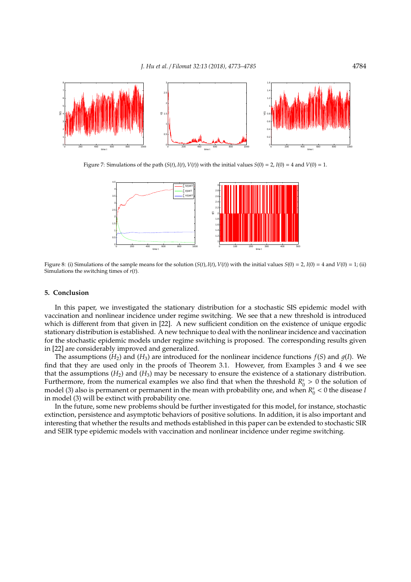

Figure 7: Simulations of the path  $(S(t), I(t), V(t))$  with the initial values  $S(0) = 2$ ,  $I(0) = 4$  and  $V(0) = 1$ .



Figure 8: (i) Simulations of the sample means for the solution  $(S(t), I(t), V(t))$  with the initial values  $S(0) = 2$ ,  $I(0) = 4$  and  $V(0) = 1$ ; (ii) Simulations the switching times of *r*(*t*).

## **5. Conclusion**

In this paper, we investigated the stationary distribution for a stochastic SIS epidemic model with vaccination and nonlinear incidence under regime switching. We see that a new threshold is introduced which is different from that given in [22]. A new sufficient condition on the existence of unique ergodic stationary distribution is established. A new technique to deal with the nonlinear incidence and vaccination for the stochastic epidemic models under regime switching is proposed. The corresponding results given in [22] are considerably improved and generalized.

The assumptions  $(H_2)$  and  $(H_3)$  are introduced for the nonlinear incidence functions  $f(S)$  and  $g(I)$ . We find that they are used only in the proofs of Theorem 3.1. However, from Examples 3 and 4 we see that the assumptions  $(H_2)$  and  $(H_3)$  may be necessary to ensure the existence of a stationary distribution. Furthermore, from the numerical examples we also find that when the threshold  $R_0^s > 0$  the solution of model (3) also is permanent or permanent in the mean with probability one, and when  $R_0^s < 0$  the disease *I* in model (3) will be extinct with probability one.

In the future, some new problems should be further investigated for this model, for instance, stochastic extinction, persistence and asymptotic behaviors of positive solutions. In addition, it is also important and interesting that whether the results and methods established in this paper can be extended to stochastic SIR and SEIR type epidemic models with vaccination and nonlinear incidence under regime switching.